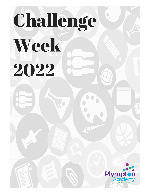# Challenge

## Week 2022

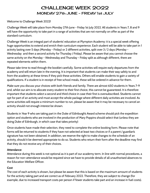## CHALLENGE WEEK 2022 MONDAY 27th JUNE - FRIDAY 1st JULY

### Welcome to Challenge Week 2022!

Challenge Week will take place from Monday 27th June - Friday 1st July 2022. All students in Years 7, 8 and 9 will have the opportunity to take part in a range of activities that are not normally on offer as part of the standard curriculum.

Challenge Week is an integral part of students' education at Plympton Academy: it is a special week offering huge opportunities to extend and enrich their curriculum experience. Each student will be able to take part in 1 activity lasting over 5 days (Monday - Friday) or 2 different activities, split over 3 / 2 days (Monday - Wednesday and then a second activity for Thursday / Friday). Please be aware that you cannot choose the same activity on the Monday - Wednesday and Thursday - Friday split as although different, there are repeated elements within them.

Please take time to read through the booklet carefully. Some activities will require early departures from the academy and will return late in the evening. It is important that students can make their way safely to and from the academy at these times if they pick these activities. Others will enable students to gain a variety of qualifications. If a student is in receipt of free school meals, these will be ordered in advance for them.

Make sure you discuss your choices with both friends and family. There are almost 650 students in Years 7-9 and, whilst our aim is to allocate every student to their first choice, this cannot be guaranteed. It is therefore important that students select a second and third choice in case their first is oversubscribed. Students cannot opt for part of an activity and must accept the whole package where different daily activities are involved. As some activities will require a minimum number to run, please be aware that it may be necessary to cancel an activity should not enough interest be shown.

Students in Year 9 who are taking part in the Duke of Edinburgh's Award scheme should pick the expedition option and students who are involved in the production of Mary Poppins should select that (unless they are doing Duke of Edinburgh, in which case that takes priority)

Once students have made their selection, they need to complete the online booking form. Please note that forms will be returned to students if they have not selected at least two choices or if a parent / guardian's signature has not been obtained. In addition, we reserve the right to make changes to the schedule of an activity, should it be deemed appropriate to do so. Students who return their form after the deadline may find that they do not receive any of their choices.

### **Attendance**

Attendance during this week is not optional as it is part of our academy term. In line with normal procedures, a reason for non-attendance would be required since we have to provide details of all unauthorised absences to the Education Welfare Officer.

### **Cost**

The cost of each activity is shown, but please be aware that this is based on the maximum amount of students for the activity taking part and are correct as of February 2022. Therefore, they are subject to change (for example, due to increased transport costs per person if fewer students take part and an increase in fuel costs).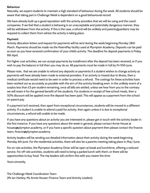### **Behaviour**

Naturally, we expect students to maintain a high standard of behaviour during the week. All students should be aware that taking part in Challenge Week is dependent on a good behavioural record.

We have already built up a good reputation with the activity providers that we will be using and the coach companies. If we feel that a student is behaving in an unacceptable and potentially dangerous manner, they will be withdrawn from the activity. If this is the case, a refund will be unlikely and parents/guardians may be required to collect them from where the activity is taking place.

### **Payment**

Activity allocation letters and request for payments will be sent during the week beginning Monday 28th March. Payments should be made via the ParentPay facility used at Plympton Academy. Deposits can be paid as soon as you have received confirmation of your child's activity. The deadline for deposit payments is Friday 8th April.

For higher cost activities, we can accept payments by installment after the deposit has been received, or if you wish to pay the balance in full then you may do so. All payments must be made in full by Fri 10th June.

Please note, that we are unable to refund any deposits or payments if a student wishes to change activity as payments will have already been made to external providers. If an activity is missed due to illness, then a medical certificate would need to be seen in order to process a refund. The costings for these activities have been worked out as accurately as possible with the aim of the activity breaking even. In the unlikely event of a surplus less than £3 per student remaining, once all bills are settled, unless we hear from you to the contrary we will retain it for the general benefit of the students. For students in receipt of free school meals, then a 50% discount will be applied once the deposit has been paid. This will appear as a payment from the school on parent pay.

If a payment isn't received, then apart from exceptional circumstances, students will be moved to a different activity. If a student is unable to attend a paid for activity, then again unless it is due to exceptional circumstances, a refund will unable to be made.

If you have any questions about an activity you are interested in, please get in touch with the activity leader in the first instance. If you have any questions about the week in general, please contact Annie House at housea@plympton.academy, or if you have a specific question about payment then please contact the finance team, finance@plympton.academy.

Activity leaders will be sending out detailed information about their activity during the week beginning Monday 6th June. For the residential activities, there will also be a parents meeting taking place in May / June.

For on-site activities, the Plympton Academy Diner will be open at break and lunchtime, offering a reduced service. For off-site activities, students will need to bring a packed lunch with them, or there will be opportunities to buy food. The trip leaders will confirm this with you nearer the time.

Yours sincerely,

The Challenge Week Coordination Team (Mr Ian Hartley; Ms Annie Houser; Finance Team and Activity Leaders)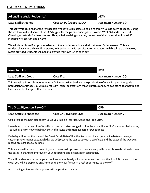### **FIVE DAY ACTIVITY OPTIONS**

| <b>Adrenaline Week (Residential)</b> |                           | <b>ADW</b>           |
|--------------------------------------|---------------------------|----------------------|
| Lead Staff: Mr Jones                 | Cost: £480 (Deposit £100) | ' Maximum Number: 30 |

This activity is designed for the thrillseekers who love rollercoasters and being thrown upside down at speed. During the week we will visit some of the UK's biggest theme parts including Alton Towers, West Midlands Safari Park, Chessington World of Adventures and Thorpe Park enabling you to try out some of the biggest rides in the UK including Wicker Man and Swarm.

We will depart from Plympton Academy on the Monday morning and will return on Friday evening. This is a residential activity and we will be staying in Premier Inns with ensuite accommodation with breakfast and evening meals provided. Students will need to provide their own lunch each day.

| <b>Mary Poppins</b>                                                                                                                                                                                                                                                                   |            | <b>POP</b>         |
|---------------------------------------------------------------------------------------------------------------------------------------------------------------------------------------------------------------------------------------------------------------------------------------|------------|--------------------|
| <b>Lead Staff: Ms Crook</b>                                                                                                                                                                                                                                                           | Cost: Free | Maximum Number: 50 |
| This workshop is for all students in years 7-9 who are involved with the production of Mary Poppins. Alongside<br>production workshops you will also get learn insider secrets from theatre professionals, go backstage at a theatre and<br>learn a variety of stagecraft techniques. |            |                    |

| The Great Plympton Bake Off |                         | <b>GPB</b>         |
|-----------------------------|-------------------------|--------------------|
| Lead Staff: Ms Kneebone     | Cost: £40 (Deposit £10) | Maximum Number: 24 |

Could you be the next star baker? Could you take on Paul Hollywood and Prue Leith?

Learn how to bake one of Ms Worth's famous drip cakes along with blondies that will give Mila's a run for their money. You will also learn how to bake a variety of biscuits and smorgesboard of sweet treats.

Each day will follow the style of the Great British Bake Off with a technical challenge, a recipe bake and an eye catching showstopper bake. Each day we will present the star baker with a certificate and the baker of the week will receive an extra special surprise!

This activity will appeal to those of you who want to improve your basic culinary skills or for those who already know the basics, a chance to improve on your decorating and presentation techniques.

You will be able to take home your creations to your family - if you can make them last that long! At the end of the week you will be preparing an afternoon tea for your families - a real opportunity to show off!

All of the ingredients and equipment will be provided for you.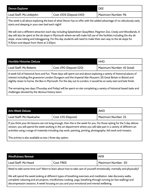| Devon Explorer                                                                                                                                                            |                          | <b>DEE</b>                |
|---------------------------------------------------------------------------------------------------------------------------------------------------------------------------|--------------------------|---------------------------|
| Lead Staff: Ms Littlejohn                                                                                                                                                 | Cost: £105 (Deposit £40) | <b>Maximum Number: 96</b> |
| This week is all about exploring the best of what Devon has to offer with the added advantage of no ridiculously early<br>starts and sleeping in your own bed each night! |                          |                           |

We will visit a different attraction each day including Splashdown QuayWest, Paignton Zoo, Crealy and Woodlands. A day will also be spent at the ski slope in Plymouth where we will make full use of the facilities including the dry ski slope, snow tubing and tobogganing. For this day students will need to make their own way to the ski slope for 9:30am and depart from there at 2:30pm.

| <b>Horrible Histories Deluxe</b>                                                                                                                                                                                                        |                         | <b>HHD</b>                 |
|-----------------------------------------------------------------------------------------------------------------------------------------------------------------------------------------------------------------------------------------|-------------------------|----------------------------|
| <b>Lead Staff: Ms Roberts</b>                                                                                                                                                                                                           | Cost: £90 (Deposit £20) | Maximum Number: 42 (total) |
| A week full of historical facts and fun. Three days will spent out and about exploring a variety of historical places of<br>interest including the gruesome London Dungeon and the Imperial War Musuem; SS Great Britain in Bristol and |                         |                            |
| slightly closer to home, the Box in Plymouth. For the day out to London, it would be an early start and late finish.                                                                                                                    |                         |                            |

The remaining two days (Thursday and Friday) will be spent on site completing a variety of historical based tasks and challenges devised by the devious history team.

| Lead Staff: Ms Hawksahw<br>Cost: £35 (Deposit) | Maximum Number: 25 |
|------------------------------------------------|--------------------|

If you think your Art lessons are not long enough, then this is the week for you. For those opting for the 5 day deluxe version, you will spend the week working in the art department where you will take part in a variety of different art activities using a range of materials including clay work, painting, printing, photography, felt work and mosaics.

This activity is also available as two / three day option.

| <b>Mindfulness Retreat</b>                                                                                                                                                                                                                                                                                                   |                   | <b>MFR</b>         |
|------------------------------------------------------------------------------------------------------------------------------------------------------------------------------------------------------------------------------------------------------------------------------------------------------------------------------|-------------------|--------------------|
| Lead Staff: Ms Heard                                                                                                                                                                                                                                                                                                         | <b>Cost: FREE</b> | Maximum Number: 50 |
| Need to take some time out? Want to learn about how to take care of yourself emotionally, mentally and physically?                                                                                                                                                                                                           |                   |                    |
| We will spend the week looking at different types of breathing exercises and meditation, take discovery walks,<br>complete colouring and art projects, mindfulness cooking, yoga, breathing through running (or fast walking) and<br>decompression sessions. A week focusing on you and your emotional and mental wellbeing. |                   |                    |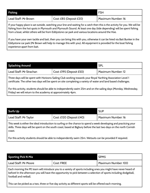| <b>Fishing</b>       |                         | <b>FSH</b>         |
|----------------------|-------------------------|--------------------|
| Lead Staff: Mr Brown | Cost: £85 (Deposit £20) | Maximum Number: 16 |

If your happy place is sat outside, watching your line and waiting for a catch then this is the activity for you. We will be fishing from the hot spots in Plymouth and Plymouth Sound. At least one day (tide depending) will be spent fishing from a boat, whilst others will be from Eddystone car park and various locations around the Hoe.

If you have your own tackle and bait, then you can bring this with you, otherwise it can be hired via Bait Bunker in the Eddystone car park (Mr Brown will help to manage this with you). All equipment is provided for the boat fishing experience apart from bait.

| <b>Splashing Around</b>                                                                                                                                                                                                       |                          | <b>SPL</b>                |
|-------------------------------------------------------------------------------------------------------------------------------------------------------------------------------------------------------------------------------|--------------------------|---------------------------|
| Lead Staff: Mr Strachan                                                                                                                                                                                                       | Cost: £195 (Deposit £50) | <b>Maximum Number: 12</b> |
| Three days will be spent with Horizons Sailing Club working towards your Royal Yacthing Association Level 1<br>certificate. The other two days will be spent on site completing a variety of water and land based challenges. |                          |                           |
| For this activity, students should be able to independently swim 25m and on the sailing days (Monday, Wednesday,<br>Friday) we will return to the academy at approximately 4pm.                                               |                          |                           |

| <b>Surfs Up</b>                                                                                                                                                                                                                                     |                          | <b>SUP</b>         |
|-----------------------------------------------------------------------------------------------------------------------------------------------------------------------------------------------------------------------------------------------------|--------------------------|--------------------|
| Lead Staff: Mr Taylor                                                                                                                                                                                                                               | Cost: £120 (Deposit £40) | Maximum Number: 16 |
| This week is either the ideal introduction to surfing or the chance to spend a week developing and practicing your<br>skills. Three days will be spent on the south coast, based at Bigbury before the last two days on the north Cornish<br>coast. |                          |                    |

For this activity students should be able to independently swim 25m. Wetsuits can be provided if required.

| <b>Sporting Pick N Mix</b>                                                                                                                                                                                                                                    |                   | SPM <sub>5</sub>    |
|---------------------------------------------------------------------------------------------------------------------------------------------------------------------------------------------------------------------------------------------------------------|-------------------|---------------------|
| Lead Staff: Mr Moore                                                                                                                                                                                                                                          | <b>Cost: FREE</b> | Maximum Number: 100 |
| Each morning the PE team will introduce you to a variety of sports including ones you might have never heard of<br>before! In the afternoon you will have the opportunity to pick between a selection of sports including dodgeball,<br>football and netball. |                   |                     |
| This can be picked as a two, three or five day activity as different sports will be offered each morning.                                                                                                                                                     |                   |                     |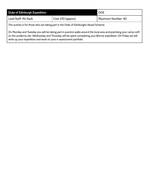| Duke of Edinburgh Expedition                                                            |                            | l DOE              |
|-----------------------------------------------------------------------------------------|----------------------------|--------------------|
| Lead Staff: Ms Stark                                                                    | $\vert$ Cost: £10 (approx) | Maximum Number: 40 |
| This activity is for those who are taking part in the Duke of Edinburgh's Award Scheme. |                            |                    |

On Monday and Tuesday you will be taking part in practice walks around the local area and practising your camp craft on the academy site. Wednesday and Thursday will be spent completing your Bronze expedition. On Friday we will write up your expedition and work on your e-assessment portfolio.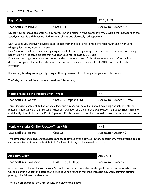### *THREE / TWO DAY ACTIVITIES*

| <b>Flight Club</b>                                                                                                                                                                                                                                                                                                                                                                                                                                                                                                                                                                                                |                   | FCL3 / FLC2        |
|-------------------------------------------------------------------------------------------------------------------------------------------------------------------------------------------------------------------------------------------------------------------------------------------------------------------------------------------------------------------------------------------------------------------------------------------------------------------------------------------------------------------------------------------------------------------------------------------------------------------|-------------------|--------------------|
| Lead Staff: Mr Glanville                                                                                                                                                                                                                                                                                                                                                                                                                                                                                                                                                                                          | <b>Cost: FREE</b> | Maximum Number: 40 |
| Launch your aeronautical career here by harnessing and mastering the power of flight. Develop the knowledge of the<br>aerodynamics lift and thrust, needed to create gliders and ultimately rocket power!!                                                                                                                                                                                                                                                                                                                                                                                                        |                   |                    |
| Day 1 will see you creatively develop paper gliders from the traditional to more imaginative, finishing with light<br>winged gliders using wood and foam.<br>Day 2 you will construct chinenese fighting kites with the use of lightweight materials such as bamboo and tracing<br>paper following the same process that has been used for the past 2000 years.<br>Day 3 we bring together the use and understanding of aerodynamics, flight, air resistance and crafting skills to<br>develop compressed air water rockets, with the potential to launch the rocket up to 100m into the skies above<br>Plympton. |                   |                    |
| If you enjoy building, making and getting stuff to fly. Join us in the T4 hangar for your activities week.                                                                                                                                                                                                                                                                                                                                                                                                                                                                                                        |                   |                    |
| The 2 day version will be a shortened version of this activity.                                                                                                                                                                                                                                                                                                                                                                                                                                                                                                                                                   |                   |                    |

| Horrble Histories Trip Package (Mon - Wed)                                                                                                                                                                                                 |                         | <b>HHT</b>                 |
|--------------------------------------------------------------------------------------------------------------------------------------------------------------------------------------------------------------------------------------------|-------------------------|----------------------------|
| <b>Lead Staff: Ms Roberts</b>                                                                                                                                                                                                              | Cost: £85 (Deposit £20) | Maximum Number: 42 (total) |
| Three days jam packed of full of historical facts and fun. We will be out and about exploring a variety of historical<br>places of interest including the gruesome London Dungeon and the Imperial War Musuem; SS Great Britain in Bristol |                         |                            |
| and slightly closer to home, the Box in Plymouth. For the day out to London, it would be an early start and late finish.                                                                                                                   |                         |                            |

| Horrible Histories On Site Package (Thurs - Fri)                                                                                                                                                                    |            | <b>HHS</b>         |
|---------------------------------------------------------------------------------------------------------------------------------------------------------------------------------------------------------------------|------------|--------------------|
| <b>Lead Staff: Ms Roberts</b>                                                                                                                                                                                       | Cost: $E5$ | Maximum Number: 42 |
| Two days of historical challenges, quizzes and tasks devised by the devious History department. Would you be able to<br>survive as a Rotten Roman or Terrible Tudor? A love of history is all you need to find out. |            |                    |

| Art 3 day / 2 day                                                                                                                                                                                                                                                                          |                         | AR3 / AR2                 |
|--------------------------------------------------------------------------------------------------------------------------------------------------------------------------------------------------------------------------------------------------------------------------------------------|-------------------------|---------------------------|
| Lead Staff: Ms Hawkshaw                                                                                                                                                                                                                                                                    | Cost: £15 (3) / £10 (2) | <b>Maximum Number: 25</b> |
| A mini version of the Art Deluxe activity. You will spend either 3 or 2 days working in the art department where you<br>will take part in a variety of different art activities using a range of materials including clay work, painting, printing,<br>photography, felt work and mosaics. |                         |                           |

There is a £15 charge for the 3 day activity and £10 for the 2 days.